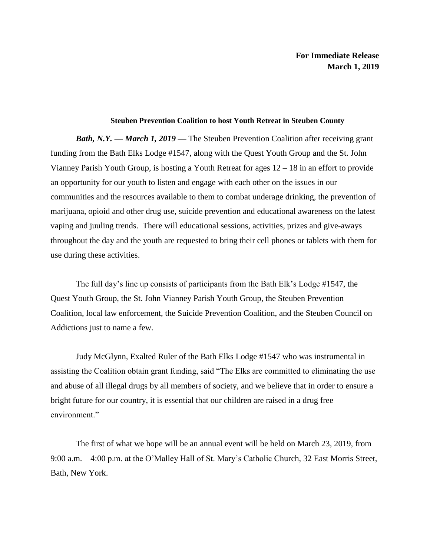## **Steuben Prevention Coalition to host Youth Retreat in Steuben County**

*Bath, N.Y. — March 1, 2019* **—** The Steuben Prevention Coalition after receiving grant funding from the Bath Elks Lodge #1547, along with the Quest Youth Group and the St. John Vianney Parish Youth Group, is hosting a Youth Retreat for ages 12 – 18 in an effort to provide an opportunity for our youth to listen and engage with each other on the issues in our communities and the resources available to them to combat underage drinking, the prevention of marijuana, opioid and other drug use, suicide prevention and educational awareness on the latest vaping and juuling trends. There will educational sessions, activities, prizes and give-aways throughout the day and the youth are requested to bring their cell phones or tablets with them for use during these activities.

The full day's line up consists of participants from the Bath Elk's Lodge #1547, the Quest Youth Group, the St. John Vianney Parish Youth Group, the Steuben Prevention Coalition, local law enforcement, the Suicide Prevention Coalition, and the Steuben Council on Addictions just to name a few.

Judy McGlynn, Exalted Ruler of the Bath Elks Lodge #1547 who was instrumental in assisting the Coalition obtain grant funding, said "The Elks are committed to eliminating the use and abuse of all illegal drugs by all members of society, and we believe that in order to ensure a bright future for our country, it is essential that our children are raised in a drug free environment."

The first of what we hope will be an annual event will be held on March 23, 2019, from 9:00 a.m. – 4:00 p.m. at the O'Malley Hall of St. Mary's Catholic Church, 32 East Morris Street, Bath, New York.